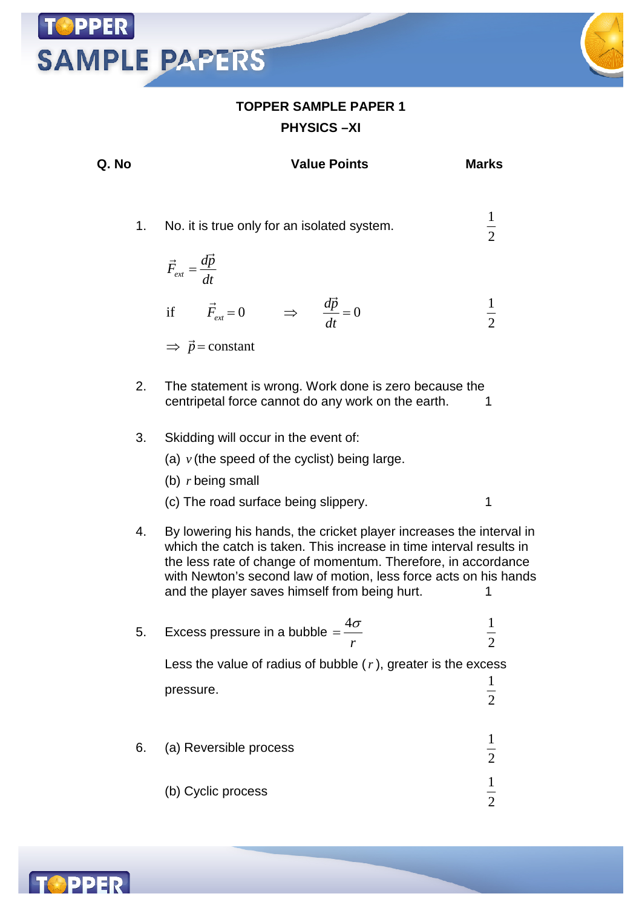#### **TOPPER SAMPLE PAPER 1 PHYSICS –XI**

**SAMPLE PAPERS** 



(b) Cyclic process  $\frac{1}{2}$ 

 $\overline{2}$ 

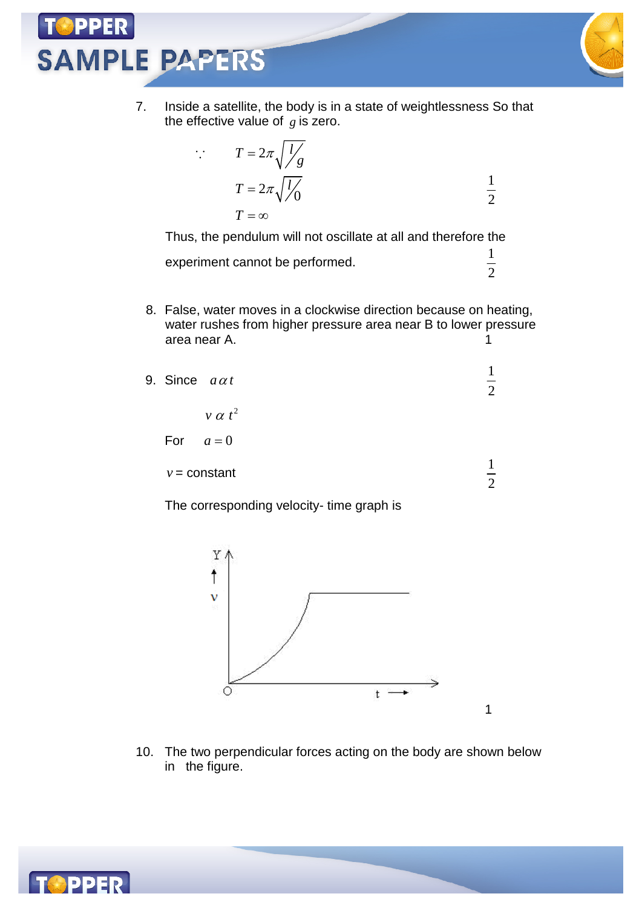$\cdot$ .



1 2

1

7. Inside a satellite, the body is in a state of weightlessness So that the effective value of *g* is zero.

$$
T = 2\pi \sqrt{\frac{l}{g}}
$$
  

$$
T = 2\pi \sqrt{\frac{l}{g}}
$$
  

$$
T = \infty
$$

Thus, the pendulum will not oscillate at all and therefore the experiment cannot be performed.  $\frac{1}{2}$ 

8. False, water moves in a clockwise direction because on heating, water rushes from higher pressure area near B to lower pressure area near A. 1

| 9. Since $a\alpha t$ |                | $\mathcal{D}_{\mathcal{L}}$ |
|----------------------|----------------|-----------------------------|
|                      | $v \alpha t^2$ |                             |
| For $a=0$            |                |                             |
|                      | $v = constant$ | $\bigcirc$                  |

The corresponding velocity- time graph is



10. The two perpendicular forces acting on the body are shown below in the figure.

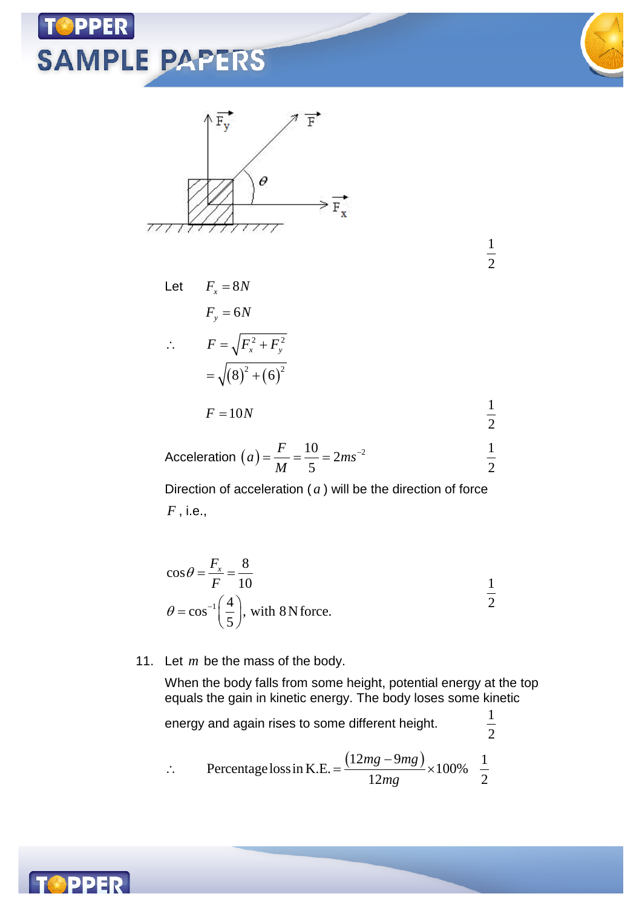

Acceleration 
$$
(a) = \frac{F}{M} = \frac{10}{5} = 2ms^{-2}
$$
  $\frac{1}{2}$ 

Direction of acceleration ( *a* ) will be the direction of force *F* , i.e.,

$$
\cos \theta = \frac{F_x}{F} = \frac{8}{10}
$$
  

$$
\theta = \cos^{-1} \left(\frac{4}{5}\right), \text{ with 8 N force.}
$$

11. Let *m* be the mass of the body.

When the body falls from some height, potential energy at the top equals the gain in kinetic energy. The body loses some kinetic

 $\frac{1}{2}$ 

energy and again rises to some different height. <sup>1</sup>

$$
\therefore \qquad \text{Percentage loss in K.E.} = \frac{(12mg - 9mg)}{12mg} \times 100\% = \frac{1}{2}
$$

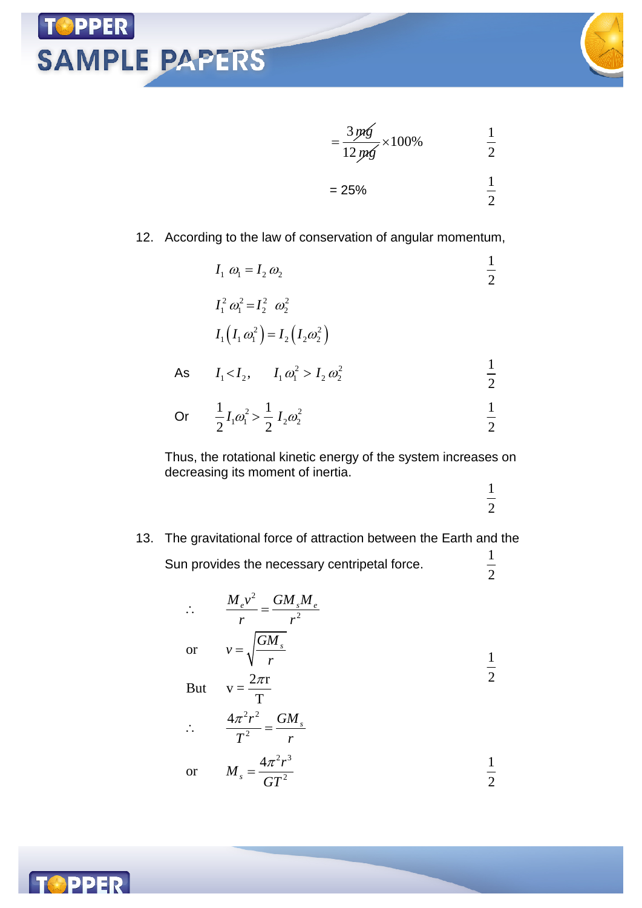





#### 12. According to the law of conservation of angular momentum,

|    | $I_1 \omega_1 = I_2 \omega_2$                            |                |
|----|----------------------------------------------------------|----------------|
|    | $I_1^2 \omega_1^2 = I_2^2 \omega_2^2$                    |                |
|    | $I_1(I_1 \omega_1^2) = I_2(I_2 \omega_2^2)$              |                |
| As | $I_1 < I_2$ , $I_1 \omega_1^2 > I_2 \omega_2^2$          | $\overline{2}$ |
|    | Or $\frac{1}{2}I_1\omega_1^2 > \frac{1}{2}I_2\omega_2^2$ | $\bigcap$      |

 $2^{11}$  2 Thus, the rotational kinetic energy of the system increases on decreasing its moment of inertia.

1 2

2

 $\overline{2}$ 

13. The gravitational force of attraction between the Earth and the Sun provides the necessary centripetal force.  $\frac{1}{2}$ 

> 2 2  $2^{2}$ 2 or  $v = \sqrt{\frac{GM_s}{m}}$ But  $v = \frac{2\pi r}{T}$ T  $4\pi^2r^2$   $\frac{GM_s}{r}$  $M_{e}v^{2}$   $=$   $\frac{GM_{s}M_{e}}{M_{e}}$ *r r v r*  $T^2$  *r* π  $\therefore \frac{m_e v}{r} =$ or  $v = \sqrt{\frac{G M}{r}}$ But  $v = \frac{2\pi r}{T}$   $4\pi^2 r^2$  $=$  $\therefore \frac{4\pi r}{r^2} =$ 1 2  $2\sqrt{3}$ 4 *r M*  $=\frac{4\pi}{\pi}$ 1

2

*GT*

*s*

$$
\quad \text{or} \quad
$$

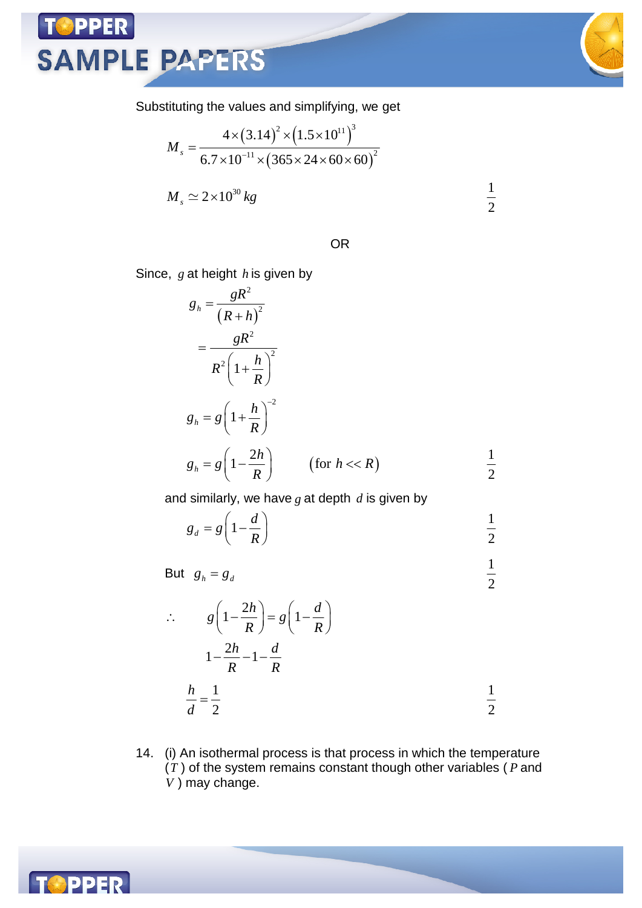#### Substituting the values and simplifying, we get

$$
M_s = \frac{4 \times (3.14)^2 \times (1.5 \times 10^{11})^3}{6.7 \times 10^{-11} \times (365 \times 24 \times 60 \times 60)^2}
$$
  

$$
M_s \simeq 2 \times 10^{30} kg
$$
  $\frac{1}{2}$ 

OR

Since, *g* at height *h* is given by

**PPER** 

**SAMPLE PAPERS** 

$$
g_h = \frac{gR^2}{(R+h)^2}
$$
  
= 
$$
\frac{gR^2}{R^2 \left(1 + \frac{h}{R}\right)^2}
$$
  

$$
g_h = g \left(1 + \frac{h}{R}\right)^{-2}
$$
  

$$
g_h = g \left(1 - \frac{2h}{R}\right) \qquad \text{(for } h < R\text{)}
$$

and similarly, we have *g* at depth *d* is given by

$$
g_d = g \left( 1 - \frac{d}{R} \right) \qquad \qquad \frac{1}{2}
$$

But  $g_h = g_d$ 1 2

$$
\therefore \qquad g\left(1 - \frac{2h}{R}\right) = g\left(1 - \frac{d}{R}\right)
$$

$$
1 - \frac{2h}{R} - 1 - \frac{d}{R}
$$

$$
\frac{h}{d} = \frac{1}{2} \qquad \qquad \frac{1}{2}
$$

14. (i) An isothermal process is that process in which the temperature (*T* ) of the system remains constant though other variables ( *P* and *V* ) may change.

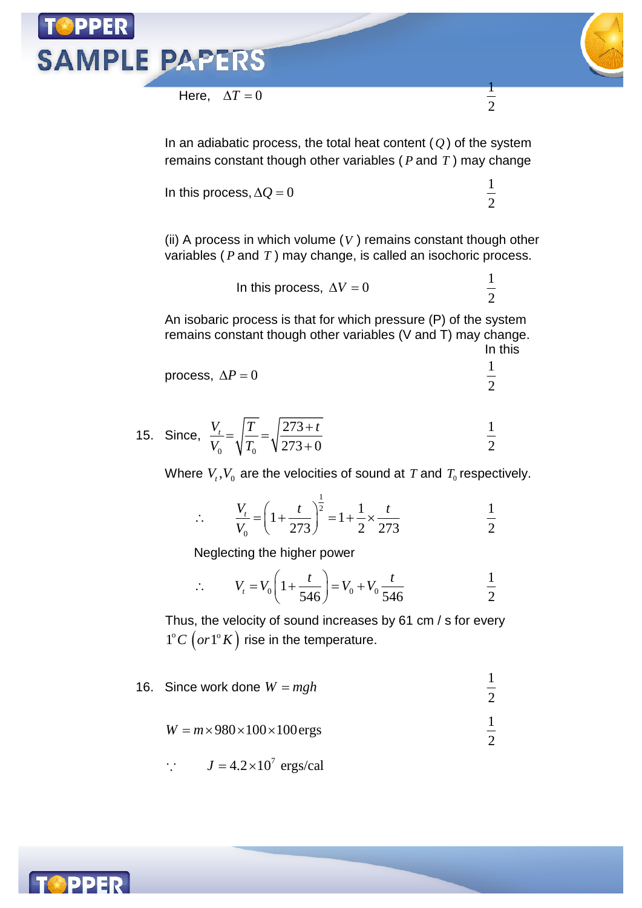

In an adiabatic process, the total heat content (*Q* ) of the system remains constant though other variables ( *P* and *T* ) may change

In this process,  $\Delta Q = 0$ 

(ii) A process in which volume (*V* ) remains constant though other variables ( *P* and *T* ) may change, is called an isochoric process.

In this process, 
$$
\Delta V = 0
$$
  $\frac{1}{2}$ 

1 2

An isobaric process is that for which pressure (P) of the system remains constant though other variables (V and T) may change. In this

process, 
$$
\Delta P = 0
$$
  $\frac{1}{2}$ 

15. Since, 
$$
\frac{V_t}{V_0} = \sqrt{\frac{T}{T_0}} = \sqrt{\frac{273 + t}{273 + 0}}
$$
  $\frac{1}{2}$ 

Where  $V_{_t}, V_{_0}$  are the velocities of sound at  $T$  and  $\,_{_0}$  respectively.

$$
\therefore \qquad \frac{V_t}{V_0} = \left(1 + \frac{t}{273}\right)^{\frac{1}{2}} = 1 + \frac{1}{2} \times \frac{t}{273} \qquad \qquad \frac{1}{2}
$$

Neglecting the higher power

$$
\therefore V_t = V_0 \left( 1 + \frac{t}{546} \right) = V_0 + V_0 \frac{t}{546}
$$
  $\frac{1}{2}$ 

Thus, the velocity of sound increases by 61 cm / s for every  $1^{\circ}$ *C*  $\left($   $or$   $1^{\circ}$ *K* $\right)$  rise in the temperature.

- 16. Since work done  $W = mgh$ 1 2
	- $W = m \times 980 \times 100 \times 100$ ergs  $\frac{1}{2}$

$$
\therefore \qquad J = 4.2 \times 10^7 \text{ ergs/cal}
$$

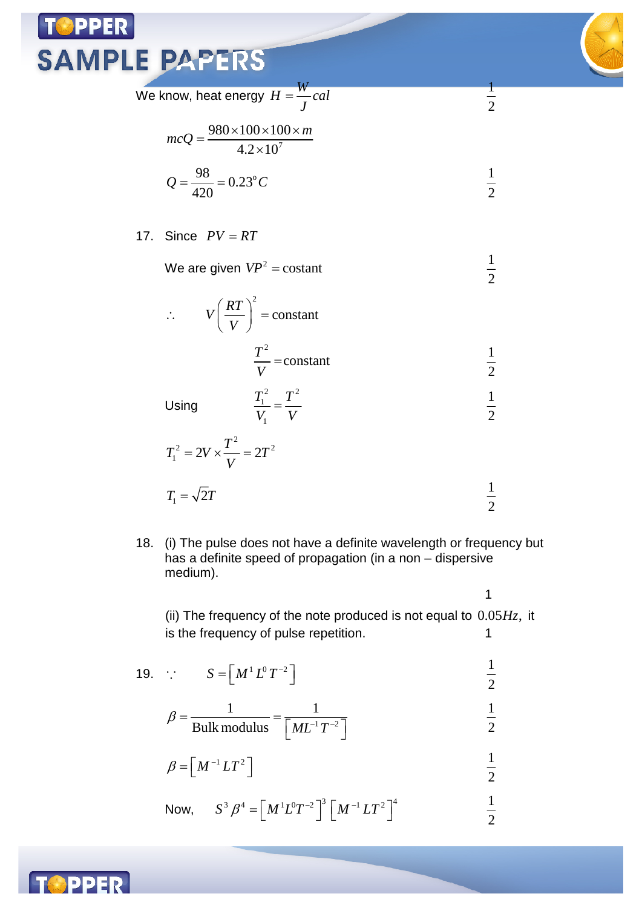We know, heat energy  $H = \frac{W}{I}$ *cal J*  $=$ 

$$
mcQ = \frac{980 \times 100 \times 100 \times m}{4.2 \times 10^7}
$$

$$
Q = \frac{98}{420} = 0.23^{\circ}C
$$

#### 17. Since  $PV = RT$

We are given  $VP^2$  = costant

2

*V*

$$
\therefore \qquad V\left(\frac{RT}{V}\right)^2 = \text{constant}
$$
\n
$$
\frac{T^2}{V} = \text{constant}
$$
\n
$$
\frac{1}{2}
$$
\n
$$
T_1^2 = T^2
$$

Using

Using 
$$
\frac{T_1^2}{V_1} = \frac{T^2}{V}
$$
  $\frac{1}{2}$   
 $T_1^2 = 2V \times \frac{T^2}{V} = 2T^2$ 

$$
T_1 = \sqrt{2}T
$$
  $\frac{1}{2}$ 

18. (i) The pulse does not have a definite wavelength or frequency but has a definite speed of propagation (in a non – dispersive medium).

1

1 2

1 2

1 2

1 2

(ii) The frequency of the note produced is not equal to  $0.05H<sub>Z</sub>$ , it is the frequency of pulse repetition. 1

$$
19. \quad \therefore \qquad S = \left[ M^1 L^0 T^{-2} \right] \qquad \qquad \frac{1}{2}
$$

$$
\beta = \frac{1}{\text{Bulk modulus}} = \frac{1}{\left[M L^{-1} T^{-2}\right]}
$$

$$
\beta = \left[ M^{-1} L T^2 \right] \qquad \qquad \frac{1}{2}
$$

Now, 
$$
S^3 \beta^4 = [M^1 L^0 T^{-2}]^3 [M^{-1} L T^2]^4
$$
  $\frac{1}{2}$ 

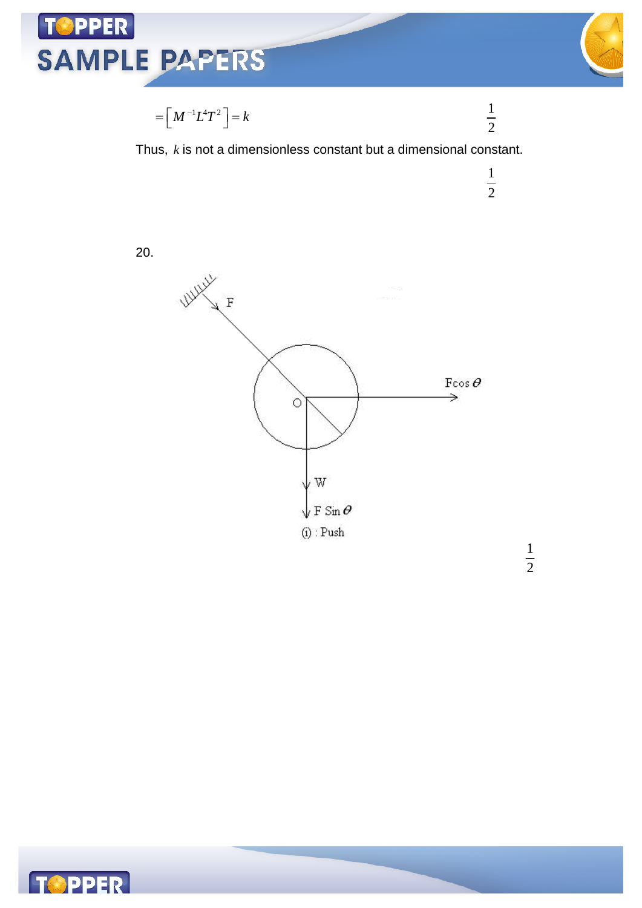

$$
\bigotimes^\Lambda
$$

 

 





20.





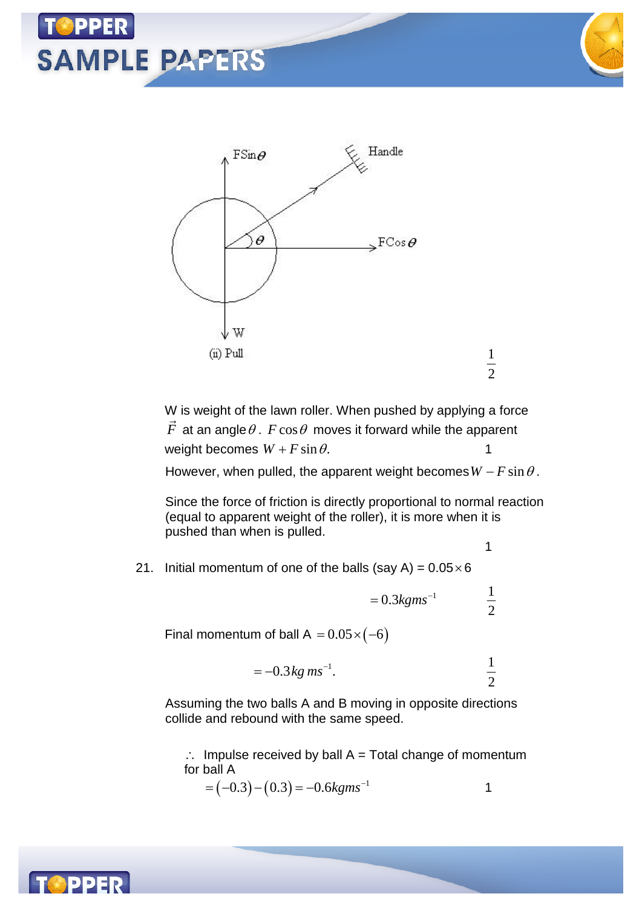



W is weight of the lawn roller. When pushed by applying a force  $F$  at an angle $\theta$  .  $F\cos\theta$  moves it forward while the apparent weight becomes  $W + F \sin \theta$ .

However, when pulled, the apparent weight becomes  $W - F \sin \theta$ .

Since the force of friction is directly proportional to normal reaction (equal to apparent weight of the roller), it is more when it is pushed than when is pulled.

- 1
- 21. Initial momentum of one of the balls (say A) =  $0.05 \times 6$

 $= 0.3 kgms^{-1}$ 1 2

Final momentum of ball A =  $0.05 \times (-6)$ 

$$
= -0.3 \, kg \, ms^{-1}.
$$

Assuming the two balls A and B moving in opposite directions collide and rebound with the same speed.

 $\therefore$  Impulse received by ball A = Total change of momentum for ball A

$$
= (-0.3) - (0.3) = -0.6 \text{kg} \text{m} \text{s}^{-1}
$$

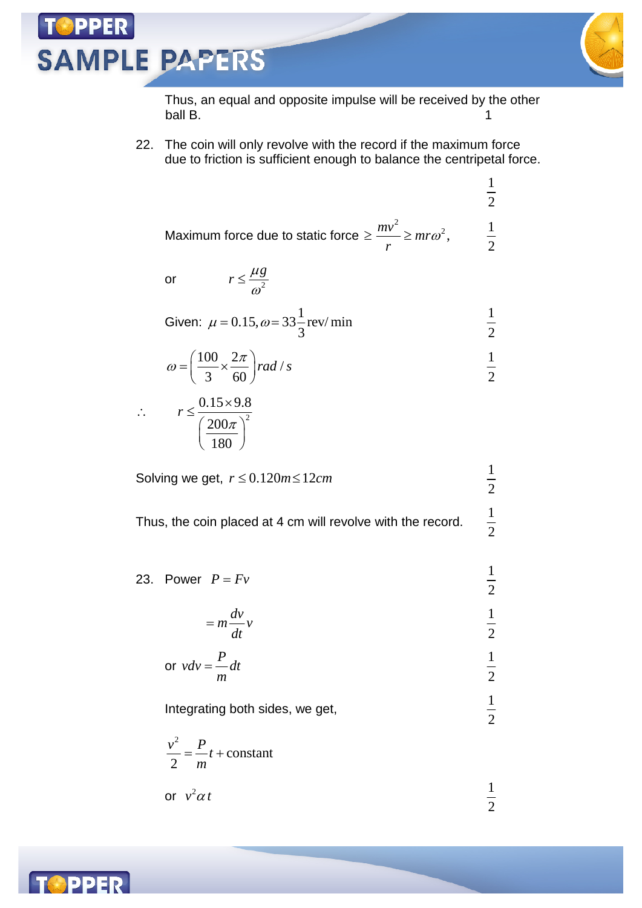**PPER** 



1 2

2

2

 $\frac{1}{2}$ 

 $\frac{1}{2}$ 

1 2

1 2

 $\frac{1}{2}$ 

Thus, an equal and opposite impulse will be received by the other ball B. 1

22. The coin will only revolve with the record if the maximum force due to friction is sufficient enough to balance the centripetal force.

Maximum force due to static force 
$$
\ge \frac{mv^2}{r} \ge mr\omega^2
$$
,  $\frac{1}{2}$ 

or  $r \leq \frac{r \cdot 8}{\omega^2}$ 

Given: 
$$
\mu = 0.15
$$
,  $\omega = 33\frac{1}{3}$  rev/min  $\frac{1}{2}$ 

$$
\omega = \left(\frac{100}{3} \times \frac{2\pi}{60}\right) rad / s
$$
  $\frac{1}{2}$ 

$$
\therefore \qquad r \leq \frac{0.15 \times 9.8}{\left(\frac{200\pi}{180}\right)^2}
$$

Solving we get,  $r \le 0.120 m \le 12 cm$ 

*g*  $r \leq \frac{\mu}{\sigma}$  $\leq \frac{\mu}{\omega}$ 

Thus, the coin placed at 4 cm will revolve with the record.

23. Power  $P = Fv$ 

$$
= m \frac{dv}{dt} v
$$

$$
\text{or } v dv = \frac{P}{m} dt \qquad \qquad \frac{1}{2}
$$

Integrating both sides, we get, <sup>1</sup>

$$
\frac{v^2}{2} = \frac{P}{m}t + \text{constant}
$$
  
or  $v^2 \alpha t$   $\frac{1}{2}$ 

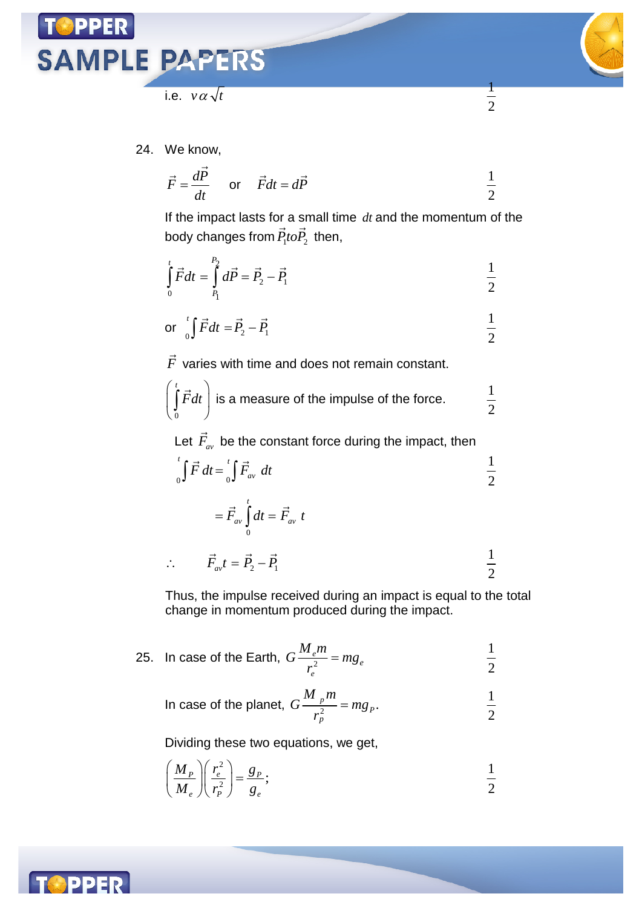



1 2

i.e.  $v \alpha \sqrt{t}$ 

24. We know,

$$
\vec{F} = \frac{d\vec{P}}{dt} \quad \text{or} \quad \vec{F}dt = d\vec{P} \qquad \frac{1}{2}
$$

If the impact lasts for a small time *dt* and the momentum of the body changes from  $P_1$ t $o P_2$  $\vec{r}$   $\vec{a}$ then,

$$
\int_{0}^{t} \vec{F} dt = \int_{P_1}^{P_2} d\vec{P} = \vec{P}_2 - \vec{P}_1
$$

or 
$$
\int_{0}^{t} \vec{F} dt = \vec{P}_2 - \vec{P}_1
$$
  $\frac{1}{2}$ 

*F*  $\rightarrow$ varies with time and does not remain constant.

$$
\left(\int_{0}^{t} \vec{F} dt\right)
$$
 is a measure of the impulse of the force.  $\frac{1}{2}$ 

Let *Fav* be the constant force during the impact, then

$$
\int_{0}^{t} \vec{F} \, dt = \int_{0}^{t} \vec{F}_{av} \, dt \qquad \frac{1}{2}
$$

$$
= \vec{F}_{av} \int_{0}^{t} dt = \vec{F}_{av} t
$$
  

$$
\therefore \qquad \vec{F}_{av} t = \vec{P}_{2} - \vec{P}_{1}
$$

Thus, the impulse received during an impact is equal to the total change in momentum produced during the impact.

25. In case of the Earth, 
$$
G\frac{M_em}{r_e^2} = mg_e
$$
  $\frac{1}{2}$ 

In case of the planet, 
$$
G\frac{M_{p}m}{r_p^2} = mg_p
$$
.  $\frac{1}{2}$ 

Dividing these two equations, we get,

$$
\left(\frac{M_P}{M_e}\right)\left(\frac{r_e^2}{r_P^2}\right) = \frac{g_P}{g_e};\tag{1}
$$

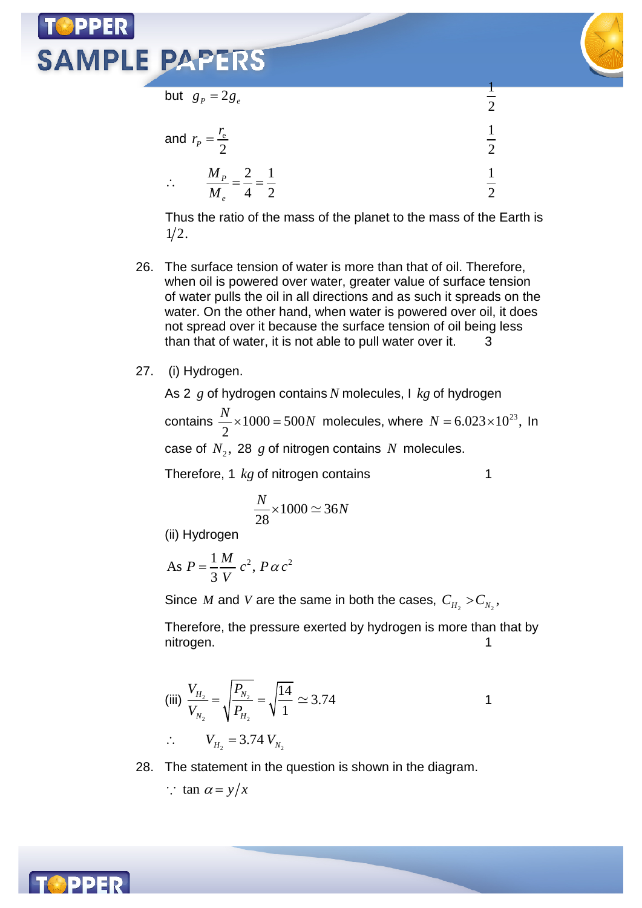

1  $\overline{2}$ 

but  $g_p = 2g_e$ 

|           | and $r_p = \frac{r_e}{2}$                    |  |
|-----------|----------------------------------------------|--|
| $\bullet$ | $M_{P}$ $=$ 2 $=$ 1<br>$4\quad 2$<br>$M_{e}$ |  |

Thus the ratio of the mass of the planet to the mass of the Earth is  $1/2$ .

- 26. The surface tension of water is more than that of oil. Therefore, when oil is powered over water, greater value of surface tension of water pulls the oil in all directions and as such it spreads on the water. On the other hand, when water is powered over oil, it does not spread over it because the surface tension of oil being less than that of water, it is not able to pull water over it.  $3$
- 27. (i) Hydrogen.

As 2 *g* of hydrogen contains *N* molecules, I *kg* of hydrogen contains  $\frac{1}{2} \times 1000 = 500$ 2  $\frac{N}{2}$  × 1000 = 500N molecules, where  $N = 6.023 \times 10^{23}$ , In case of  $N_2$ , 28  $g$  of nitrogen contains  $N$  molecules.

Therefore, 1 *kg* of nitrogen contains 1

$$
\frac{N}{28} \times 1000 \simeq 36N
$$

(ii) Hydrogen

As 
$$
P = \frac{1}{3} \frac{M}{V} c^2, P \alpha c^2
$$

Since  $M$  and  $V$  are the same in both the cases,  $C_{H_2} > C_{N_2}$ ,

Therefore, the pressure exerted by hydrogen is more than that by nitrogen. 1

(iii) 
$$
\frac{V_{H_2}}{V_{N_2}} = \sqrt{\frac{P_{N_2}}{P_{H_2}}} = \sqrt{\frac{14}{1}} \approx 3.74
$$
  

$$
\therefore \qquad V_{H_2} = 3.74 \ V_{N_2}
$$

28. The statement in the question is shown in the diagram.

$$
\therefore \tan \alpha = y/x
$$

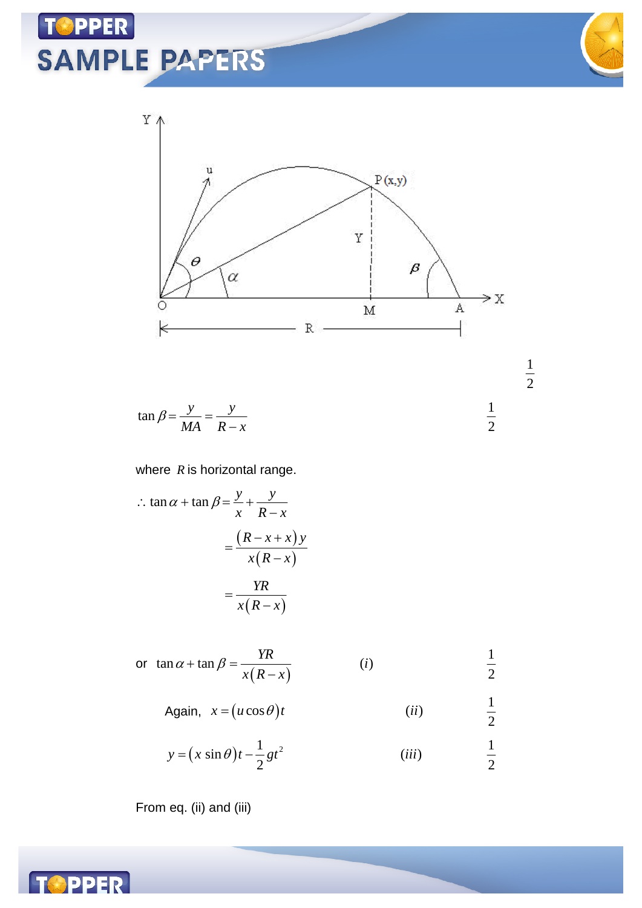

2

1 2



$$
\tan \beta = \frac{y}{MA} = \frac{y}{R - x}
$$
  $\frac{1}{2}$ 

#### where *R* is horizontal range.

$$
\therefore \tan \alpha + \tan \beta = \frac{y}{x} + \frac{y}{R - x}
$$

$$
= \frac{(R - x + x)y}{x(R - x)}
$$

$$
= \frac{YR}{x(R - x)}
$$

or 
$$
\tan \alpha + \tan \beta = \frac{YR}{x(R-x)}
$$
 (i)  $\frac{1}{2}$ 

Again, 
$$
x = (u \cos \theta)t
$$
 (ii)

$$
y = (x \sin \theta)t - \frac{1}{2}gt^2
$$
 (iii)  $\frac{1}{2}$ 

From eq. (ii) and (iii)

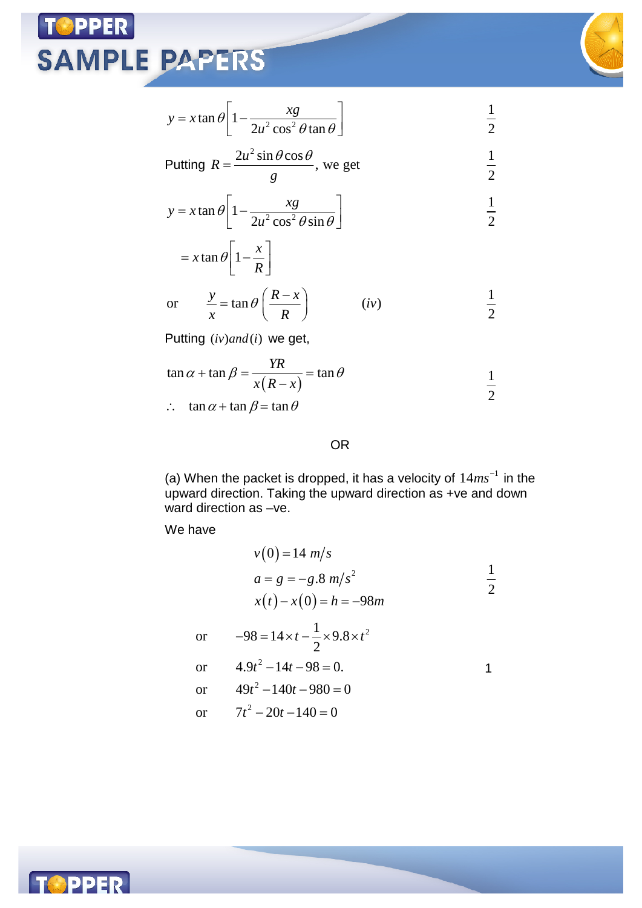

1 2

$$
y = x \tan \theta \left[ 1 - \frac{xg}{2u^2 \cos^2 \theta \tan \theta} \right]
$$

Putting 
$$
R = \frac{2u^2 \sin \theta \cos \theta}{g}
$$
, we get  $\frac{1}{2}$ 

$$
y = x \tan \theta \left[ 1 - \frac{xg}{2u^2 \cos^2 \theta \sin \theta} \right]
$$
  $\frac{1}{2}$ 

$$
= x \tan \theta \left[ 1 - \frac{x}{R} \right]
$$

or 
$$
\frac{y}{x} = \tan \theta \left( \frac{R - x}{R} \right)
$$
 (iv)  $\frac{1}{2}$ 

Putting  $(iv)$  *and* (*i*) we get,

$$
\tan \alpha + \tan \beta = \frac{YR}{x(R - x)} = \tan \theta
$$
\n
$$
\frac{1}{2}
$$

 $\therefore$  tan  $\alpha$  + tan  $\beta$  = tan  $\theta$ 

#### OR

(a) When the packet is dropped, it has a velocity of  $14ms^{-1}$  in the upward direction. Taking the upward direction as +ve and down ward direction as –ve.

We have

$$
v(0) = 14 \ m/s
$$
  
\n
$$
a = g = -g.8 \ m/s^{2}
$$
  
\n
$$
x(t) - x(0) = h = -98m
$$
  
\nor 
$$
-98 = 14 \times t - \frac{1}{2} \times 9.8 \times t^{2}
$$
  
\nor 
$$
4.9t^{2} - 14t - 98 = 0.
$$
  
\nor 
$$
49t^{2} - 140t - 980 = 0
$$
  
\nor 
$$
7t^{2} - 20t - 140 = 0
$$

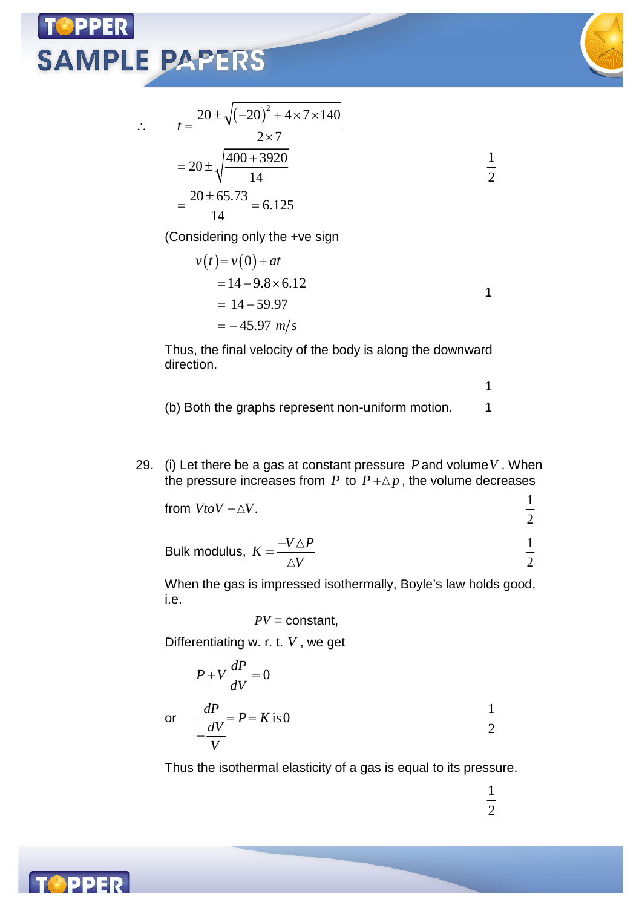$\dddot{\cdot}$ 



$$
t = \frac{20 \pm \sqrt{(-20)^2 + 4 \times 7 \times 140}}{2 \times 7}
$$
  
= 20 \pm \sqrt{\frac{400 + 3920}{14}}  
=  $\frac{20 \pm 65.73}{14} = 6.125$ 

(Considering only the +ve sign

$$
v(t) = v(0) + at
$$
  
= 14-9.8×6.12  
= 14-59.97  
= -45.97 m/s

Thus, the final velocity of the body is along the downward direction.

- (b) Both the graphs represent non-uniform motion. 1
- 29. (i) Let there be a gas at constant pressure *P*and volume*V* . When the pressure increases from  $P$  to  $P + \Delta p$ , the volume decreases

from 
$$
VtoV - \Delta V
$$
.

Bulk modulus, 
$$
K = \frac{-V \triangle P}{\triangle V}
$$
  $\frac{1}{2}$ 

When the gas is impressed isothermally, Boyle's law holds good, i.e.

 $PV = constant$ ,

Differentiating w. r. t. *V* , we get

$$
P + V \frac{dP}{dV} = 0
$$
  
or 
$$
\frac{dP}{dV} = P = K \text{ is } 0
$$

Thus the isothermal elasticity of a gas is equal to its pressure.

1 2

1 2

1

1

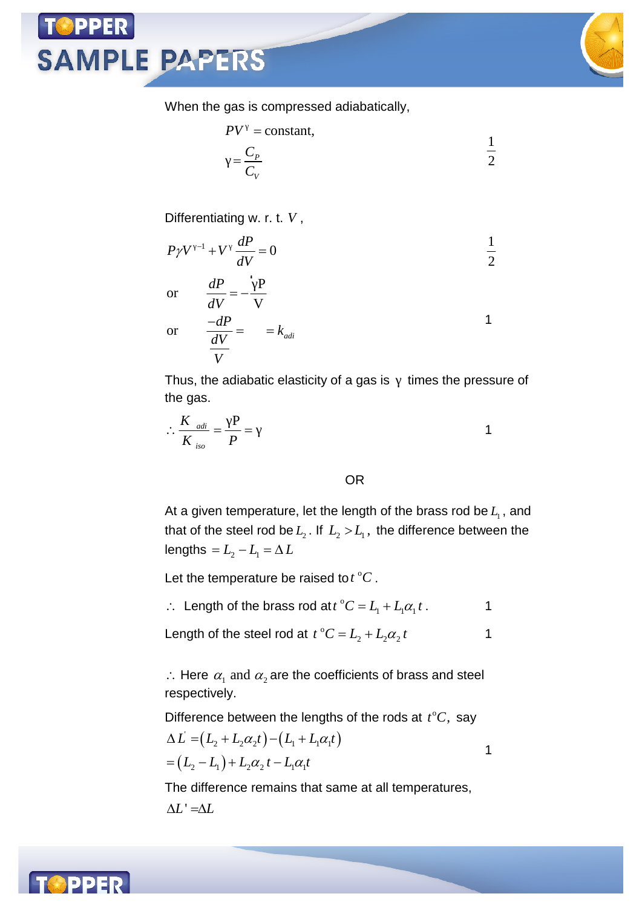When the gas is compressed adiabatically,

$$
PV = \text{constant},
$$
  
=  $\frac{C_P}{C_V}$   $\frac{1}{2}$ 

Differentiating w. r. t. *V* ,

**SAMPLE PAPERS** 

$$
P\gamma V^{-1} + V \frac{dP}{dV} = 0
$$
  $\frac{1}{2}$ 

or 
$$
\frac{dP}{dV} = -\frac{P}{V}
$$
  
or 
$$
\frac{-dP}{dV} = k_{adi}
$$

Thus, the adiabatic elasticity of a gas is times the pressure of the gas.

$$
\therefore \frac{K_{adi}}{K_{iso}} = \frac{P}{P} = 1
$$

#### OR

At a given temperature, let the length of the brass rod be  $L_{\!\scriptscriptstyle 1}$  , and that of the steel rod be  $L_{\scriptscriptstyle 2}$  . If  $\,L_{\scriptscriptstyle 2} >\! L_{\scriptscriptstyle 1}$  , the difference between the lengths  $= L_2 - L_1 = \Delta L$ 

Let the temperature be raised to  $t^{\circ}C$ .

 $\therefore$  Length of the brass rod at  $t^{\circ}C = L_1 + L_1 \alpha_1 t$ .

Length of the steel rod at  $t C^C = L_2 + L_2 \alpha_2 t$  1

 $\therefore$  Here  $\alpha_1$  and  $\alpha_2$  are the coefficients of brass and steel respectively.

Difference between the lengths of the rods at  $t^{\circ}C$ , say

$$
\Delta L = (L_2 + L_2 \alpha_2 t) - (L_1 + L_1 \alpha_1 t) = (L_2 - L_1) + L_2 \alpha_2 t - L_1 \alpha_1 t
$$

The difference remains that same at all temperatures,  $\Delta L' = \Delta L$ 



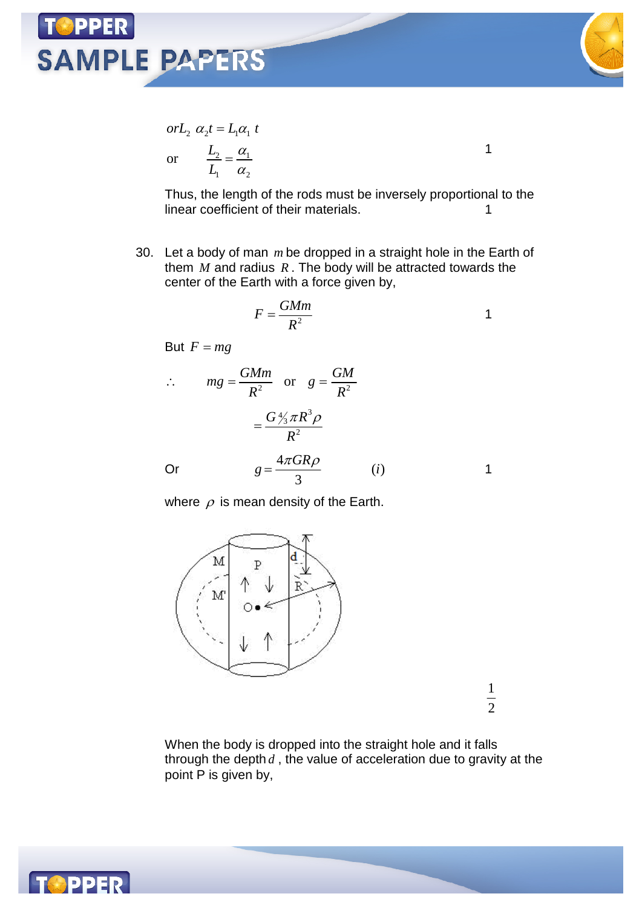

1

$$
orL_2 \ \alpha_2 t = L_1 \alpha_1 \ t
$$
  
or 
$$
\frac{L_2}{L_1} = \frac{\alpha_1}{\alpha_2}
$$

Thus, the length of the rods must be inversely proportional to the linear coefficient of their materials.

30. Let a body of man *m* be dropped in a straight hole in the Earth of them *M* and radius *R* . The body will be attracted towards the center of the Earth with a force given by,

$$
F = \frac{GMm}{R^2}
$$

But  $F = mg$ 

$$
\therefore mg = \frac{GMm}{R^2} \text{ or } g = \frac{GM}{R^2}
$$

$$
= \frac{G\frac{4}{3}\pi R^3 \rho}{R^2}
$$
Or 
$$
g = \frac{4\pi GR\rho}{3} \qquad (i)
$$
1

where  $\rho$  is mean density of the Earth.



When the body is dropped into the straight hole and it falls through the depth *d* , the value of acceleration due to gravity at the point P is given by,

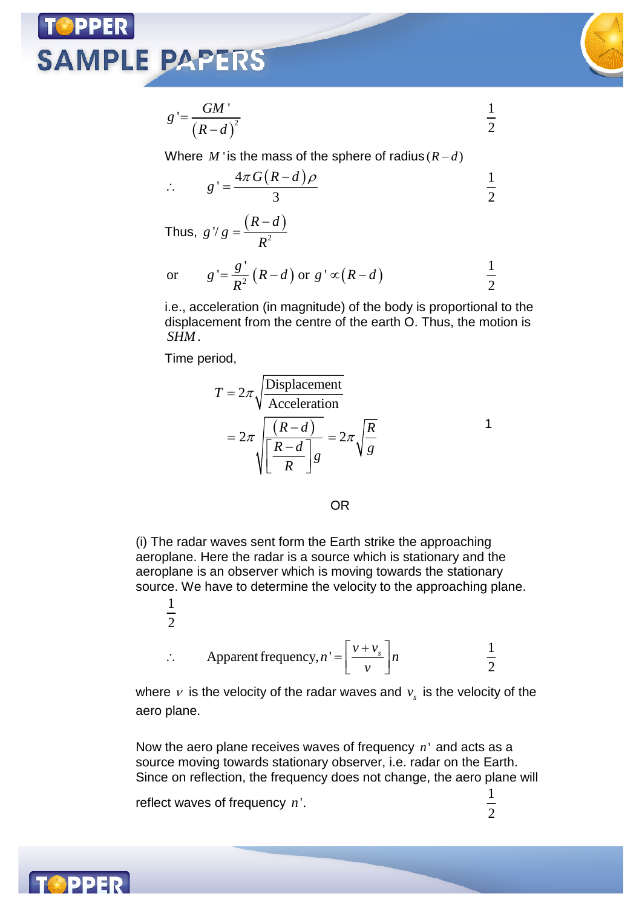

$$
g' = \frac{GM'}{(R-d)^2} \qquad \qquad \frac{1}{2}
$$

Where *M* ' is the mass of the sphere of radius  $(R - d)$ 

$$
\therefore \qquad g' = \frac{4\pi G(R-d)\rho}{3} \qquad \qquad \frac{1}{2}
$$

Thus,  $g \mid g = \frac{(R-d)}{R^2}$  $R - d$ *g g R*  $\overline{a}$  $=$ 

or 
$$
g' = \frac{g'}{R^2} (R-d)
$$
 or  $g' \propto (R-d)$   $\frac{1}{2}$ 

i.e., acceleration (in magnitude) of the body is proportional to the displacement from the centre of the earth O. Thus, the motion is *SHM*.

Time period,

1  $\overline{2}$ 

$$
T = 2\pi \sqrt{\frac{\text{Displacement}}{\text{Acceleration}}}
$$

$$
= 2\pi \sqrt{\frac{(R-d)}{\left[\frac{R-d}{R}\right]g}} = 2\pi \sqrt{\frac{R}{g}}
$$

OR

(i) The radar waves sent form the Earth strike the approaching aeroplane. Here the radar is a source which is stationary and the aeroplane is an observer which is moving towards the stationary source. We have to determine the velocity to the approaching plane.

$$
\therefore \qquad \text{Apparent frequency, } n' = \left[ \frac{v + v_s}{v} \right] n \qquad \qquad \frac{1}{2}
$$

where  $\nu$  is the velocity of the radar waves and  $v_{_S}$  is the velocity of the aero plane.

Now the aero plane receives waves of frequency *n* ' and acts as a source moving towards stationary observer, i.e. radar on the Earth. Since on reflection, the frequency does not change, the aero plane will

reflect waves of frequency  $n'$ .  $\frac{1}{2}$ 

 $\frac{1}{2}$ 

1